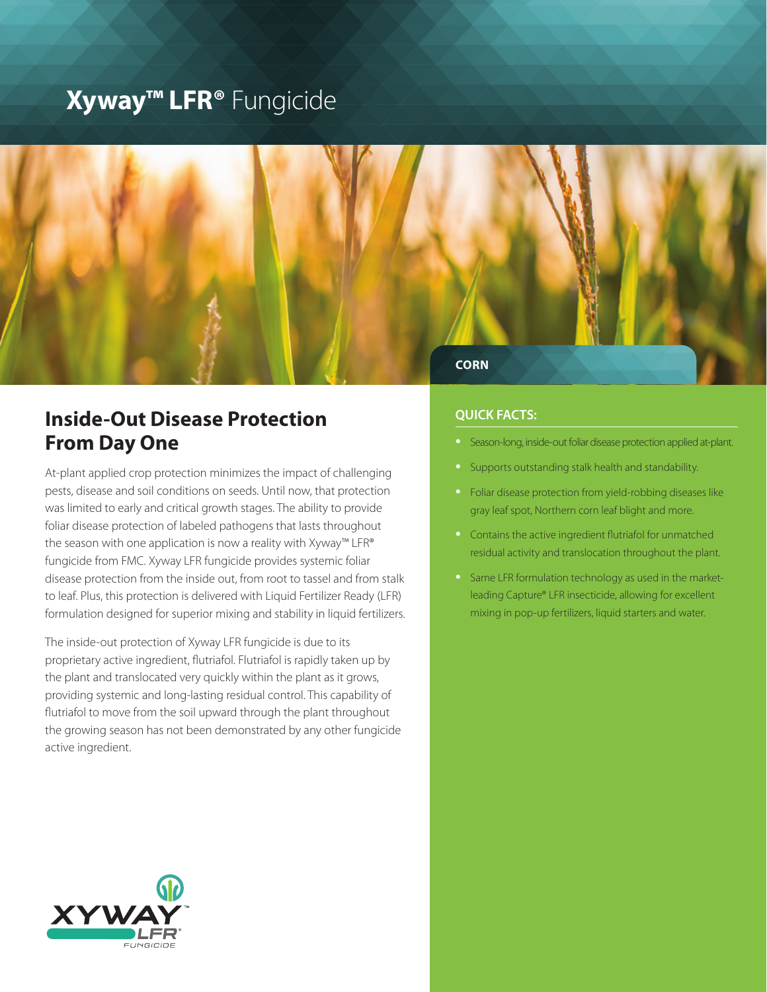# **Xyway™ LFR®** Fungicide



# **Inside-Out Disease Protection From Day One**

At-plant applied crop protection minimizes the impact of challenging pests, disease and soil conditions on seeds. Until now, that protection was limited to early and critical growth stages. The ability to provide foliar disease protection of labeled pathogens that lasts throughout the season with one application is now a reality with Xyway™ LFR® fungicide from FMC. Xyway LFR fungicide provides systemic foliar disease protection from the inside out, from root to tassel and from stalk to leaf. Plus, this protection is delivered with Liquid Fertilizer Ready (LFR) formulation designed for superior mixing and stability in liquid fertilizers.

The inside-out protection of Xyway LFR fungicide is due to its proprietary active ingredient, flutriafol. Flutriafol is rapidly taken up by the plant and translocated very quickly within the plant as it grows, providing systemic and long-lasting residual control. This capability of flutriafol to move from the soil upward through the plant throughout the growing season has not been demonstrated by any other fungicide active ingredient.

# **QUICK FACTS:**

- Season-long, inside-out foliar disease protection applied at-plant.
- Supports outstanding stalk health and standability.
- Foliar disease protection from yield-robbing diseases like gray leaf spot, Northern corn leaf blight and more.
- Contains the active ingredient flutriafol for unmatched residual activity and translocation throughout the plant.
- Same LFR formulation technology as used in the marketleading Capture® LFR insecticide, allowing for excellent mixing in pop-up fertilizers, liquid starters and water.